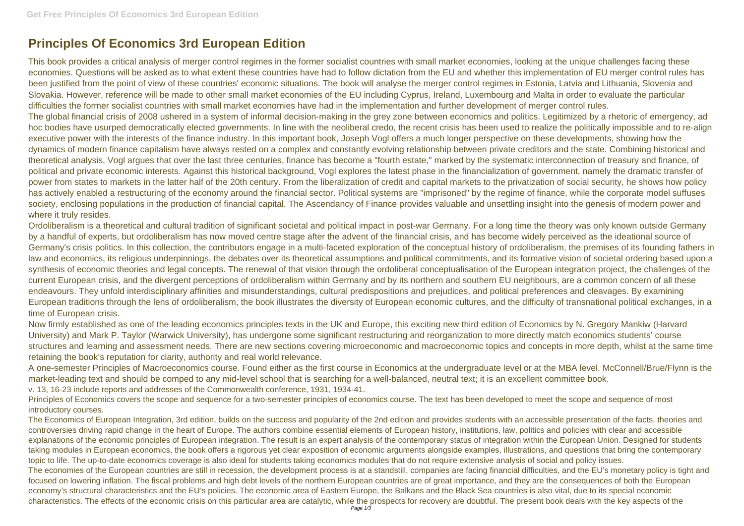## **Principles Of Economics 3rd European Edition**

This book provides a critical analysis of merger control regimes in the former socialist countries with small market economies, looking at the unique challenges facing these economies. Questions will be asked as to what extent these countries have had to follow dictation from the EU and whether this implementation of EU merger control rules has been justified from the point of view of these countries' economic situations. The book will analyse the merger control regimes in Estonia, Latvia and Lithuania, Slovenia and Slovakia. However, reference will be made to other small market economies of the EU including Cyprus, Ireland, Luxembourg and Malta in order to evaluate the particular difficulties the former socialist countries with small market economies have had in the implementation and further development of merger control rules. The global financial crisis of 2008 ushered in a system of informal decision-making in the grey zone between economics and politics. Legitimized by a rhetoric of emergency, ad hoc bodies have usurped democratically elected governments. In line with the neoliberal credo, the recent crisis has been used to realize the politically impossible and to re-align executive power with the interests of the finance industry. In this important book, Joseph Vogl offers a much longer perspective on these developments, showing how the dynamics of modern finance capitalism have always rested on a complex and constantly evolving relationship between private creditors and the state. Combining historical and theoretical analysis, Vogl argues that over the last three centuries, finance has become a "fourth estate," marked by the systematic interconnection of treasury and finance, of political and private economic interests. Against this historical background, Vogl explores the latest phase in the financialization of government, namely the dramatic transfer of power from states to markets in the latter half of the 20th century. From the liberalization of credit and capital markets to the privatization of social security, he shows how policy has actively enabled a restructuring of the economy around the financial sector. Political systems are "imprisoned" by the regime of finance, while the corporate model suffuses society, enclosing populations in the production of financial capital. The Ascendancy of Finance provides valuable and unsettling insight into the genesis of modern power and where it truly resides.

The Economics of European Integration, 3rd edition, builds on the success and popularity of the 2nd edition and provides students with an accessible presentation of the facts, theories and controversies driving rapid change in the heart of Europe. The authors combine essential elements of European history, institutions, law, politics and policies with clear and accessible explanations of the economic principles of European integration. The result is an expert analysis of the contemporary status of integration within the European Union. Designed for students taking modules in European economics, the book offers a rigorous yet clear exposition of economic arguments alongside examples, illustrations, and questions that bring the contemporary topic to life. The up-to-date economics coverage is also ideal for students taking economics modules that do not require extensive analysis of social and policy issues. The economies of the European countries are still in recession, the development process is at a standstill, companies are facing financial difficulties, and the EU's monetary policy is tight and focused on lowering inflation. The fiscal problems and high debt levels of the northern European countries are of great importance, and they are the consequences of both the European economy's structural characteristics and the EU's policies. The economic area of Eastern Europe, the Balkans and the Black Sea countries is also vital, due to its special economic characteristics. The effects of the economic crisis on this particular area are catalytic, while the prospects for recovery are doubtful. The present book deals with the key aspects of the Page  $1/3$ 

Ordoliberalism is a theoretical and cultural tradition of significant societal and political impact in post-war Germany. For a long time the theory was only known outside Germany by a handful of experts, but ordoliberalism has now moved centre stage after the advent of the financial crisis, and has become widely perceived as the ideational source of Germany's crisis politics. In this collection, the contributors engage in a multi-faceted exploration of the conceptual history of ordoliberalism, the premises of its founding fathers in law and economics, its religious underpinnings, the debates over its theoretical assumptions and political commitments, and its formative vision of societal ordering based upon a synthesis of economic theories and legal concepts. The renewal of that vision through the ordoliberal conceptualisation of the European integration project, the challenges of the current European crisis, and the divergent perceptions of ordoliberalism within Germany and by its northern and southern EU neighbours, are a common concern of all these endeavours. They unfold interdisciplinary affinities and misunderstandings, cultural predispositions and prejudices, and political preferences and cleavages. By examining European traditions through the lens of ordoliberalism, the book illustrates the diversity of European economic cultures, and the difficulty of transnational political exchanges, in a time of European crisis.

Now firmly established as one of the leading economics principles texts in the UK and Europe, this exciting new third edition of Economics by N. Gregory Mankiw (Harvard University) and Mark P. Taylor (Warwick University), has undergone some significant restructuring and reorganization to more directly match economics students' course structures and learning and assessment needs. There are new sections covering microeconomic and macroeconomic topics and concepts in more depth, whilst at the same time retaining the book's reputation for clarity, authority and real world relevance.

A one-semester Principles of Macroeconomics course. Found either as the first course in Economics at the undergraduate level or at the MBA level. McConnell/Brue/Flynn is the market-leading text and should be comped to any mid-level school that is searching for a well-balanced, neutral text; it is an excellent committee book. v. 13, 16-23 include reports and addresses of the Commonwealth conference, 1931, 1934-41.

Principles of Economics covers the scope and sequence for a two-semester principles of economics course. The text has been developed to meet the scope and sequence of most introductory courses.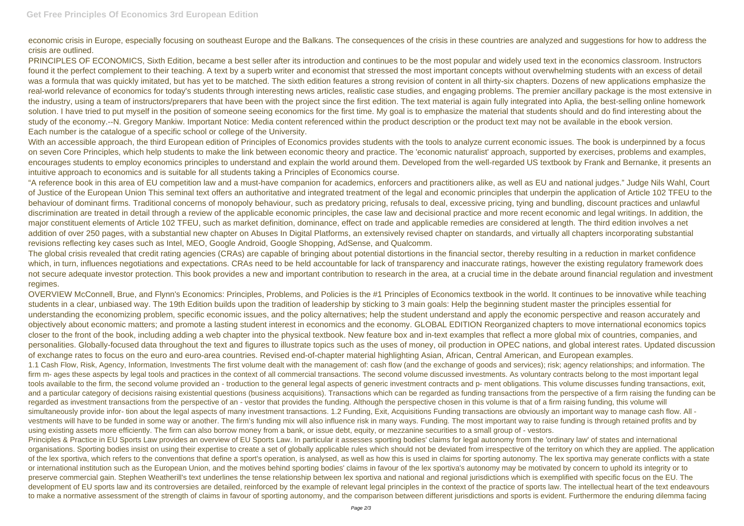economic crisis in Europe, especially focusing on southeast Europe and the Balkans. The consequences of the crisis in these countries are analyzed and suggestions for how to address the crisis are outlined.

PRINCIPLES OF ECONOMICS, Sixth Edition, became a best seller after its introduction and continues to be the most popular and widely used text in the economics classroom. Instructors found it the perfect complement to their teaching. A text by a superb writer and economist that stressed the most important concepts without overwhelming students with an excess of detail was a formula that was quickly imitated, but has yet to be matched. The sixth edition features a strong revision of content in all thirty-six chapters. Dozens of new applications emphasize the real-world relevance of economics for today's students through interesting news articles, realistic case studies, and engaging problems. The premier ancillary package is the most extensive in the industry, using a team of instructors/preparers that have been with the project since the first edition. The text material is again fully integrated into Aplia, the best-selling online homework solution. I have tried to put myself in the position of someone seeing economics for the first time. My goal is to emphasize the material that students should and do find interesting about the study of the economy.--N. Gregory Mankiw. Important Notice: Media content referenced within the product description or the product text may not be available in the ebook version. Each number is the catalogue of a specific school or college of the University.

With an accessible approach, the third European edition of Principles of Economics provides students with the tools to analyze current economic issues. The book is underpinned by a focus on seven Core Principles, which help students to make the link between economic theory and practice. The 'economic naturalist' approach, supported by exercises, problems and examples, encourages students to employ economics principles to understand and explain the world around them. Developed from the well-regarded US textbook by Frank and Bernanke, it presents an intuitive approach to economics and is suitable for all students taking a Principles of Economics course.

"A reference book in this area of EU competition law and a must-have companion for academics, enforcers and practitioners alike, as well as EU and national judges." Judge Nils Wahl, Court of Justice of the European Union This seminal text offers an authoritative and integrated treatment of the legal and economic principles that underpin the application of Article 102 TFEU to the behaviour of dominant firms. Traditional concerns of monopoly behaviour, such as predatory pricing, refusals to deal, excessive pricing, tying and bundling, discount practices and unlawful discrimination are treated in detail through a review of the applicable economic principles, the case law and decisional practice and more recent economic and legal writings. In addition, the major constituent elements of Article 102 TFEU, such as market definition, dominance, effect on trade and applicable remedies are considered at length. The third edition involves a net addition of over 250 pages, with a substantial new chapter on Abuses In Digital Platforms, an extensively revised chapter on standards, and virtually all chapters incorporating substantial revisions reflecting key cases such as Intel, MEO, Google Android, Google Shopping, AdSense, and Qualcomm.

The global crisis revealed that credit rating agencies (CRAs) are capable of bringing about potential distortions in the financial sector, thereby resulting in a reduction in market confidence which, in turn, influences negotiations and expectations. CRAs need to be held accountable for lack of transparency and inaccurate ratings, however the existing regulatory framework does not secure adequate investor protection. This book provides a new and important contribution to research in the area, at a crucial time in the debate around financial regulation and investment regimes.

OVERVIEW McConnell, Brue, and Flynn's Economics: Principles, Problems, and Policies is the #1 Principles of Economics textbook in the world. It continues to be innovative while teaching students in a clear, unbiased way. The 19th Edition builds upon the tradition of leadership by sticking to 3 main goals: Help the beginning student master the principles essential for understanding the economizing problem, specific economic issues, and the policy alternatives; help the student understand and apply the economic perspective and reason accurately and objectively about economic matters; and promote a lasting student interest in economics and the economy. GLOBAL EDITION Reorganized chapters to move international economics topics closer to the front of the book, including adding a web chapter into the physical textbook. New feature box and in-text examples that reflect a more global mix of countries, companies, and personalities. Globally-focused data throughout the text and figures to illustrate topics such as the uses of money, oil production in OPEC nations, and global interest rates. Updated discussion of exchange rates to focus on the euro and euro-area countries. Revised end-of-chapter material highlighting Asian, African, Central American, and European examples. 1.1 Cash Flow, Risk, Agency, Information, Investments The first volume dealt with the management of: cash flow (and the exchange of goods and services); risk; agency relationships; and information. The firm m- ages these aspects by legal tools and practices in the context of all commercial transactions. The second volume discussed investments. As voluntary contracts belong to the most important legal tools available to the firm, the second volume provided an - troduction to the general legal aspects of generic investment contracts and p- ment obligations. This volume discusses funding transactions, exit, and a particular category of decisions raising existential questions (business acquisitions). Transactions which can be regarded as funding transactions from the perspective of a firm raising the funding can be regarded as investment transactions from the perspective of an - vestor that provides the funding. Although the perspective chosen in this volume is that of a firm raising funding, this volume will simultaneously provide infor- tion about the legal aspects of many investment transactions. 1.2 Funding, Exit, Acquisitions Funding transactions are obviously an important way to manage cash flow. All vestments will have to be funded in some way or another. The firm's funding mix will also influence risk in many ways. Funding. The most important way to raise funding is through retained profits and by using existing assets more efficiently. The firm can also borrow money from a bank, or issue debt, equity, or mezzanine securities to a small group of - vestors. Principles & Practice in EU Sports Law provides an overview of EU Sports Law. In particular it assesses sporting bodies' claims for legal autonomy from the 'ordinary law' of states and international organisations. Sporting bodies insist on using their expertise to create a set of globally applicable rules which should not be deviated from irrespective of the territory on which they are applied. The application of the lex sportiva, which refers to the conventions that define a sport's operation, is analysed, as well as how this is used in claims for sporting autonomy. The lex sportiva may generate conflicts with a state or international institution such as the European Union, and the motives behind sporting bodies' claims in favour of the lex sportiva's autonomy may be motivated by concern to uphold its integrity or to preserve commercial gain. Stephen Weatherill's text underlines the tense relationship between lex sportiva and national and regional jurisdictions which is exemplified with specific focus on the EU. The development of EU sports law and its controversies are detailed, reinforced by the example of relevant legal principles in the context of the practice of sports law. The intellectual heart of the text endeavours to make a normative assessment of the strength of claims in favour of sporting autonomy, and the comparison between different jurisdictions and sports is evident. Furthermore the enduring dilemma facing